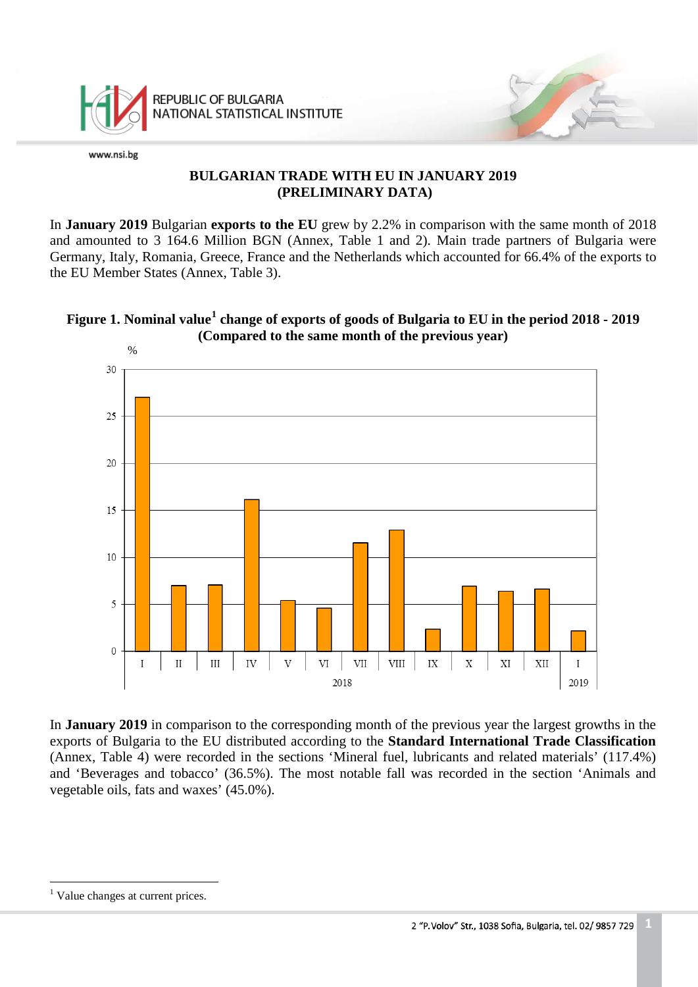

#### **BULGARIAN TRADE WITH EU IN JANUARY 2019 (PRELIMINARY DATA)**

In **January 2019** Bulgarian **exports to the EU** grew by 2.2% in comparison with the same month of 2018 and amounted to 3 164.6 Million BGN (Annex, Table 1 and 2). Main trade partners of Bulgaria were Germany, Italy, Romania, Greece, France and the Netherlands which accounted for 66.4% of the exports to the EU Member States (Annex, Table 3).





In **January 2019** in comparison to the corresponding month of the previous year the largest growths in the exports of Bulgaria to the EU distributed according to the **Standard International Trade Classification** (Annex, Table 4) were recorded in the sections 'Mineral fuel, lubricants and related materials' (117.4%) and 'Beverages and tobacco' (36.5%). The most notable fall was recorded in the section 'Animals and vegetable oils, fats and waxes' (45.0%).

<span id="page-0-0"></span><sup>&</sup>lt;sup>1</sup> Value changes at current prices.  $\frac{1}{1}$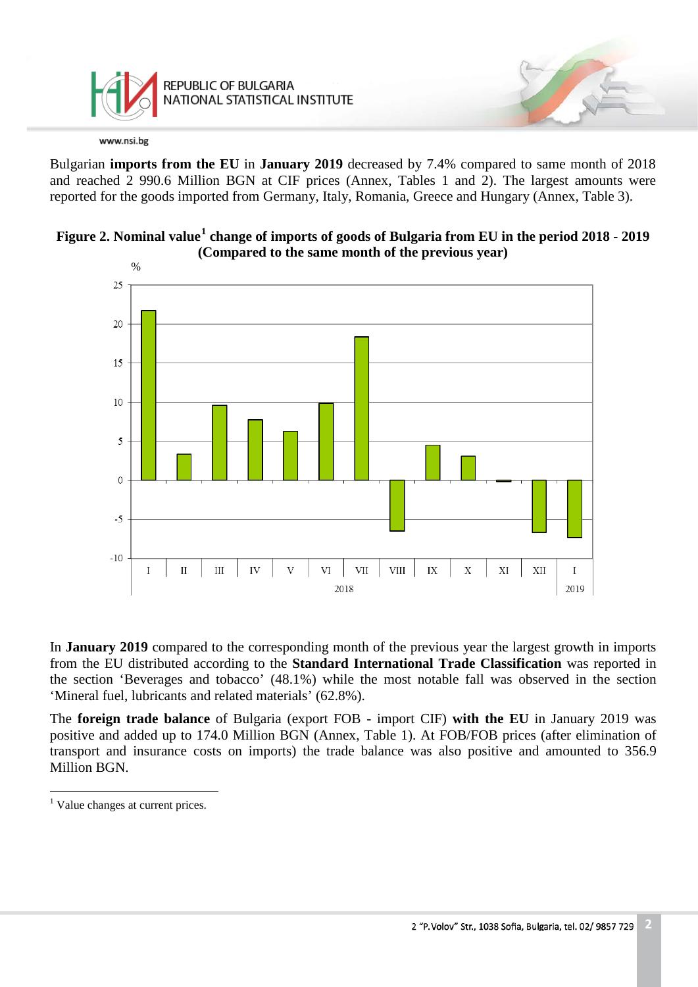

Bulgarian **imports from the EU** in **January 2019** decreased by 7.4% compared to same month of 2018 and reached 2 990.6 Million BGN at CIF prices (Annex, Tables 1 and 2). The largest amounts were reported for the goods imported from Germany, Italy, Romania, Greece and Hungary (Annex, Table 3).





In **January 2019** compared to the corresponding month of the previous year the largest growth in imports from the EU distributed according to the **Standard International Trade Classification** was reported in the section 'Beverages and tobacco' (48.1%) while the most notable fall was observed in the section 'Mineral fuel, lubricants and related materials' (62.8%).

The **foreign trade balance** of Bulgaria (export FOB - import CIF) **with the EU** in January 2019 was positive and added up to 174.0 Million BGN (Annex, Table 1). At FOB/FOB prices (after elimination of transport and insurance costs on imports) the trade balance was also positive and amounted to 356.9 Million BGN.

<span id="page-1-0"></span><sup>&</sup>lt;sup>1</sup> Value changes at current prices.  $\frac{1}{1}$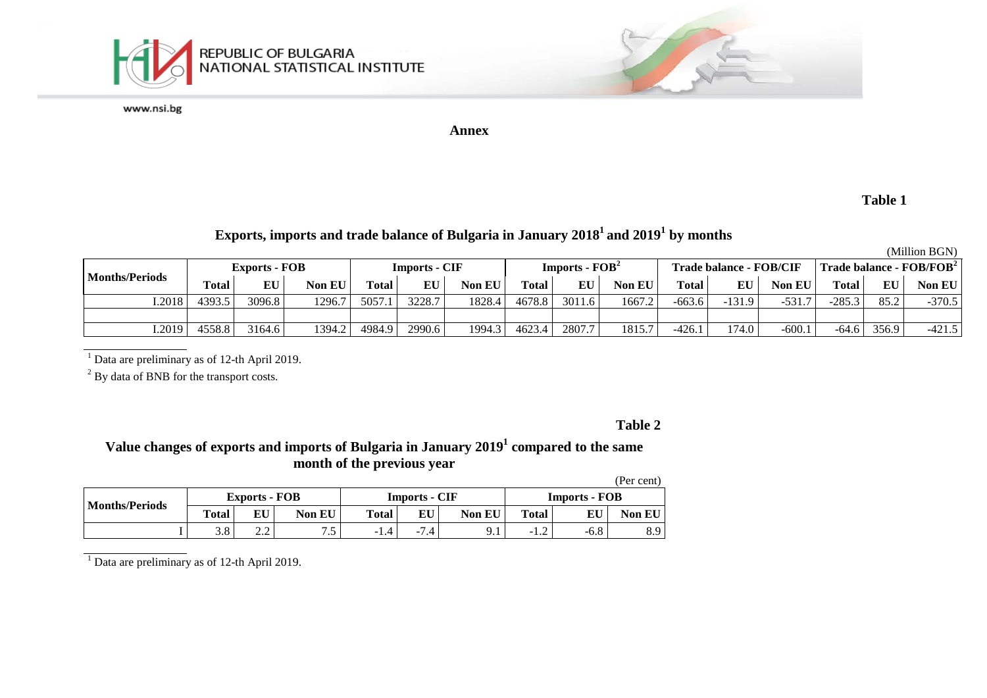

**Annex**

#### **Table 1**

# **Exports, imports and trade balance of Bulgaria in January 20181 and 20191 by months**

(Million BGN)

| <b>Months/Periods</b> |              | <b>Exports - FOB</b> |        |              | Imports - CIF |        |              | $Imports - FOB2$ |               | Trade balance - FOB/CIF |          |         |              |       | Trade balance - $FOB/FOB2$ |
|-----------------------|--------------|----------------------|--------|--------------|---------------|--------|--------------|------------------|---------------|-------------------------|----------|---------|--------------|-------|----------------------------|
|                       | <b>Total</b> | EU                   | Non EU | <b>Total</b> | EU            | Non EU | <b>Total</b> | EU               | <b>Non EU</b> | <b>Total</b>            | EU       | Non EU  | <b>Total</b> | EU    | <b>Non EU</b>              |
| 1.2018                | 4393.5       | 3096.8               | 1296.7 | 5057         | 3228.7        | 1828.4 | 4678.8       | 3011.6           | 1667.2        | $-663.6$                | $-131.9$ | $-531$  | $-285.3$     | 85.2  | $-370.5$                   |
|                       |              |                      |        |              |               |        |              |                  |               |                         |          |         |              |       |                            |
| 1.2019                | 4558.8       | 3164.6               | 1394.2 | 4984.9       | 2990.6        | 1994.3 | 4623.4       | 2807.7           | 1815.7        | $-426.1$                | 174.0    | $-600.$ | $-64.6$      | 356.9 | $-421.5$                   |

 $1$  Data are preliminary as of 12-th April 2019.

<sup>2</sup> By data of BNB for the transport costs.

#### **Table 2**

## **Value changes of exports and imports of Bulgaria in January 20191 compared to the same month of the previous year**

|                       |              |                      |          |              |                      |               |                      |        | (Per cent)      |  |
|-----------------------|--------------|----------------------|----------|--------------|----------------------|---------------|----------------------|--------|-----------------|--|
| <b>Months/Periods</b> |              | <b>Exports - FOB</b> |          |              | <b>Imports - CIF</b> |               | <b>Imports - FOB</b> |        |                 |  |
|                       | <b>Total</b> | EU                   | Non EU   | <b>Total</b> | EU                   | <b>Non EU</b> | Total                | EU     | <b>Non EU</b>   |  |
|                       | 3.8          | $\Omega$<br>2.Z      | 75<br>ر… | -1.4         | .4<br>$-1$           | 9.1           | $-1.4$               | $-6.8$ | $\Omega$<br>o.> |  |

 $\frac{1}{1}$  Data are preliminary as of 12-th April 2019.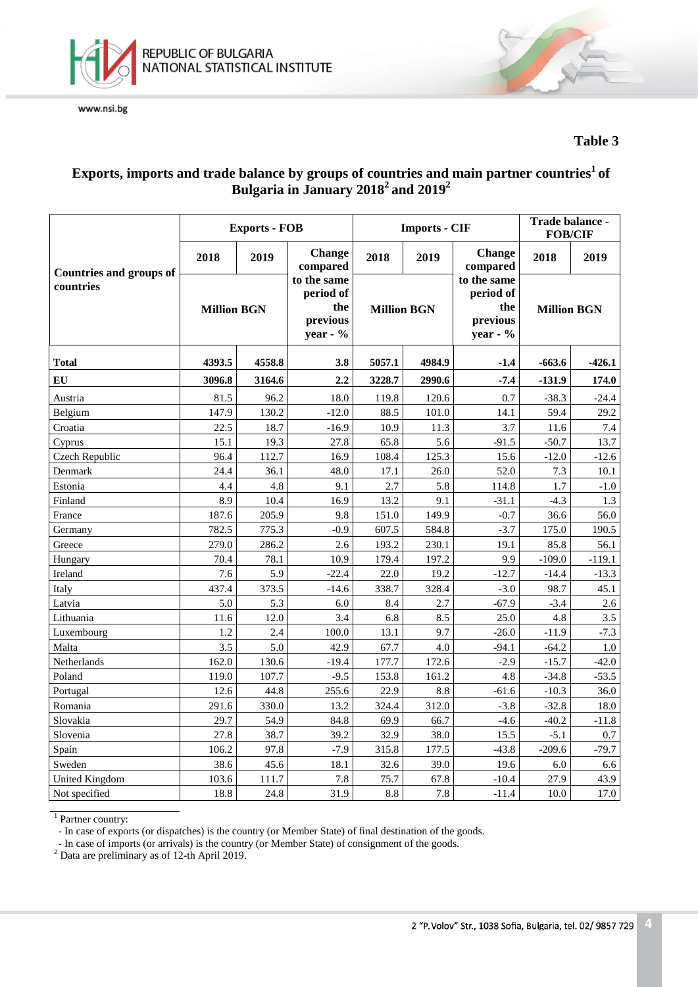



#### **Table 3**

## **Exports, imports and trade balance by groups of countries and main partner countries1 of Bulgaria in January 20182 and 20192**

|                                |                    | <b>Exports - FOB</b> |                                                         |                    | <b>Imports - CIF</b> | Trade balance -<br><b>FOB/CIF</b>                       |                    |          |
|--------------------------------|--------------------|----------------------|---------------------------------------------------------|--------------------|----------------------|---------------------------------------------------------|--------------------|----------|
| <b>Countries and groups of</b> | 2018               | 2019                 | Change<br>compared                                      | 2018               | 2019                 | <b>Change</b><br>compared                               | 2018               | 2019     |
| countries                      | <b>Million BGN</b> |                      | to the same<br>period of<br>the<br>previous<br>year - % | <b>Million BGN</b> |                      | to the same<br>period of<br>the<br>previous<br>year - % | <b>Million BGN</b> |          |
| <b>Total</b>                   | 4393.5             | 4558.8               | 3.8                                                     | 5057.1             | 4984.9               |                                                         | $-663.6$           | $-426.1$ |
| EU                             | 3096.8             | 3164.6               | 2.2                                                     | 3228.7             | 2990.6               | $-7.4$                                                  | $-131.9$           | 174.0    |
| Austria                        | 81.5               | 96.2                 | 18.0                                                    | 119.8              | 120.6                | 0.7                                                     | $-38.3$            | $-24.4$  |
| Belgium                        | 147.9              | 130.2                | $-12.0$                                                 | 88.5               | 101.0                | 14.1                                                    | 59.4               | 29.2     |
| Croatia                        | 22.5               | 18.7                 | $-16.9$                                                 | 10.9               | 11.3                 | 3.7                                                     | 11.6               | 7.4      |
| Cyprus                         | 15.1               | 19.3                 | 27.8                                                    | 65.8               | 5.6                  | $-91.5$                                                 | $-50.7$            | 13.7     |
| Czech Republic                 | 96.4               | 112.7                | 16.9                                                    | 108.4              | 125.3                | 15.6                                                    | $-12.0$            | $-12.6$  |
| Denmark                        | 24.4               | 36.1                 | 48.0                                                    | 17.1               | 26.0                 | 52.0                                                    | 7.3                | 10.1     |
| Estonia                        | 4.4                | 4.8                  | 9.1                                                     | 2.7                | 5.8                  | 114.8                                                   | 1.7                | $-1.0$   |
| Finland                        | 8.9                | 10.4                 | 16.9                                                    | 13.2               | 9.1                  | $-31.1$                                                 | $-4.3$             | 1.3      |
| France                         | 187.6              | 205.9                | 9.8                                                     | 151.0              | 149.9                | $-0.7$                                                  | 36.6               | 56.0     |
| Germany                        | 782.5              | 775.3                | $-0.9$                                                  | 607.5              | 584.8                | $-3.7$                                                  | 175.0              | 190.5    |
| Greece                         | 279.0              | 286.2                | 2.6                                                     | 193.2              | 230.1                | 19.1                                                    | 85.8               | 56.1     |
| Hungary                        | 70.4               | 78.1                 | 10.9                                                    | 179.4              | 197.2                | 9.9                                                     | $-109.0$           | $-119.1$ |
| Ireland                        | 7.6                | 5.9                  | $-22.4$                                                 | 22.0               | 19.2                 | $-12.7$                                                 | $-14.4$            | $-13.3$  |
| Italy                          | 437.4              | 373.5                | $-14.6$                                                 | 338.7              | 328.4                | $-3.0$                                                  | 98.7               | 45.1     |
| Latvia                         | 5.0                | 5.3                  | 6.0                                                     | 8.4                | 2.7                  | $-67.9$                                                 | $-3.4$             | 2.6      |
| Lithuania                      | 11.6               | 12.0                 | 3.4                                                     | 6.8                | 8.5                  | 25.0                                                    | 4.8                | 3.5      |
| Luxembourg                     | 1.2                | 2.4                  | 100.0                                                   | 13.1               | 9.7                  | $-26.0$                                                 | $-11.9$            | $-7.3$   |
| Malta                          | 3.5                | 5.0                  | 42.9                                                    | 67.7               | 4.0                  | $-94.1$                                                 | $-64.2$            | 1.0      |
| Netherlands                    | 162.0              | 130.6                | $-19.4$                                                 | 177.7              | 172.6                | $-2.9$                                                  | $-15.7$            | $-42.0$  |
| Poland                         | 119.0              | 107.7                | $-9.5$                                                  | 153.8              | 161.2                | 4.8                                                     | $-34.8$            | $-53.5$  |
| Portugal                       | 12.6               | 44.8                 | 255.6                                                   | 22.9               | 8.8                  | $-61.6$                                                 | $-10.3$            | 36.0     |
| Romania                        | 291.6              | 330.0                | 13.2                                                    | 324.4              | 312.0                | $-3.8$                                                  | $-32.8$            | 18.0     |
| Slovakia                       | 29.7               | 54.9                 | 84.8                                                    | 69.9               | 66.7                 | $-4.6$                                                  | $-40.2$            | $-11.8$  |
| Slovenia                       | 27.8               | 38.7                 | 39.2                                                    | 32.9               | 38.0                 | 15.5                                                    | $-5.1$             | 0.7      |
| Spain                          | 106.2              | 97.8                 | $-7.9$                                                  | 315.8              | 177.5                | $-43.8$                                                 | $-209.6$           | $-79.7$  |
| Sweden                         | 38.6               | 45.6                 | 18.1                                                    | 32.6               | 39.0                 | 19.6                                                    | 6.0                | 6.6      |
| United Kingdom                 | 103.6              | 111.7                | 7.8                                                     | 75.7               | 67.8                 | $-10.4$                                                 | 27.9               | 43.9     |
| Not specified                  | 18.8               | 24.8                 | 31.9                                                    | 8.8                | 7.8                  | $-11.4$                                                 | 10.0               | 17.0     |

<sup>1</sup> Partner country:

- In case of exports (or dispatches) is the country (or Member State) of final destination of the goods.

- In case of imports (or arrivals) is the country (or Member State) of consignment of the goods. <sup>2</sup> Data are preliminary as of 12-th April 2019.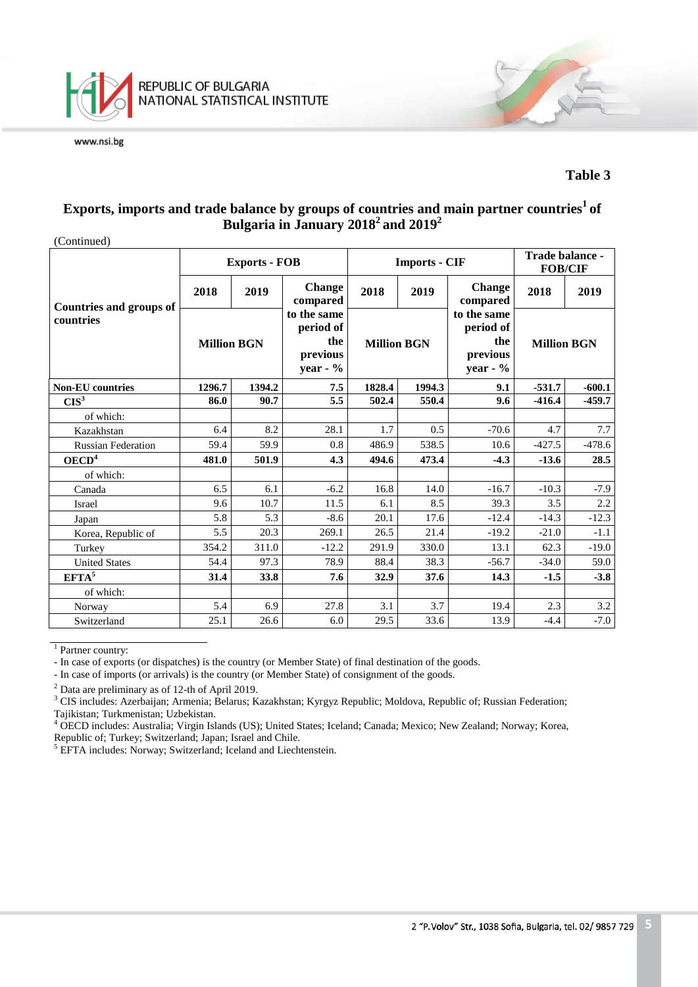

#### **Table 3**

## Exports, imports and trade balance by groups of countries and main partner countries<sup>1</sup> of **Bulgaria in January 20182 and 20192**

(Continued)

| $\sqrt{2}$                     |                    | <b>Exports - FOB</b> |                                                           |                    | <b>Imports - CIF</b> |                                                         | Trade balance -<br><b>FOB/CIF</b> |          |
|--------------------------------|--------------------|----------------------|-----------------------------------------------------------|--------------------|----------------------|---------------------------------------------------------|-----------------------------------|----------|
| <b>Countries and groups of</b> | 2018               | 2019                 | <b>Change</b><br>compared                                 | 2018               | 2019                 | <b>Change</b><br>compared                               | 2018                              | 2019     |
| countries                      | <b>Million BGN</b> |                      | to the same<br>period of<br>the<br>previous<br>year - $%$ | <b>Million BGN</b> |                      | to the same<br>period of<br>the<br>previous<br>year - % | <b>Million BGN</b>                |          |
| <b>Non-EU</b> countries        | 1296.7<br>1394.2   |                      | 7.5                                                       | 1828.4             | 1994.3               | 9.1                                                     | $-531.7$                          | $-600.1$ |
| CIS <sup>3</sup>               | 86.0               | 90.7                 | 5.5                                                       | 502.4              | 550.4                | 9.6                                                     | $-416.4$                          | $-459.7$ |
| of which:                      |                    |                      |                                                           |                    |                      |                                                         |                                   |          |
| Kazakhstan                     | 6.4                | 8.2                  | 28.1                                                      | 1.7                | 0.5                  | $-70.6$                                                 | 4.7                               | 7.7      |
| <b>Russian Federation</b>      | 59.4               | 59.9                 | 0.8                                                       | 486.9              | 538.5                | 10.6                                                    | $-427.5$                          | $-478.6$ |
| OECD <sup>4</sup>              | 481.0              | 501.9                | 4.3                                                       | 494.6              | 473.4                | $-4.3$                                                  | $-13.6$                           | 28.5     |
| of which:                      |                    |                      |                                                           |                    |                      |                                                         |                                   |          |
| Canada                         | 6.5                | 6.1                  | $-6.2$                                                    | 16.8               | 14.0                 | $-16.7$                                                 | $-10.3$                           | $-7.9$   |
| Israel                         | 9.6                | 10.7                 | 11.5                                                      | 6.1                | 8.5                  | 39.3                                                    | 3.5                               | 2.2      |
| Japan                          | 5.8                | 5.3                  | $-8.6$                                                    | 20.1               | 17.6                 | $-12.4$                                                 | $-14.3$                           | $-12.3$  |
| Korea, Republic of             | 5.5                | 20.3                 | 269.1                                                     | 26.5               | 21.4                 | $-19.2$                                                 | $-21.0$                           | $-1.1$   |
| Turkey                         | 354.2              | 311.0                | $-12.2$                                                   | 291.9              | 330.0                | 13.1                                                    | 62.3                              | $-19.0$  |
| <b>United States</b>           | 54.4               | 97.3                 | 78.9                                                      | 88.4               | 38.3                 | $-56.7$                                                 | $-34.0$                           | 59.0     |
| $EFTA^5$                       | 31.4               | 33.8                 | 7.6                                                       | 32.9               | 37.6                 | 14.3                                                    | $-1.5$                            | $-3.8$   |
| of which:                      |                    |                      |                                                           |                    |                      |                                                         |                                   |          |
| Norway                         | 5.4                | 6.9                  | 27.8                                                      | 3.1                | 3.7                  | 19.4                                                    | 2.3                               | 3.2      |
| Switzerland                    | 25.1               | 26.6                 | 6.0                                                       | 29.5               | 33.6                 | 13.9                                                    | $-4.4$                            | $-7.0$   |

 $1$  Partner country:

- In case of exports (or dispatches) is the country (or Member State) of final destination of the goods.

- In case of imports (or arrivals) is the country (or Member State) of consignment of the goods.

<sup>2</sup> Data are preliminary as of 12-th of April 2019.<br><sup>3</sup> CIS includes: Azerbaijan; Armenia; Belarus; Kazakhstan; Kyrgyz Republic; Moldova, Republic of; Russian Federation;<br>Tajikistan; Turkmenistan; Uzbekistan.

<sup>4</sup> OECD includes: Australia; Virgin Islands (US); United States; Iceland; Canada; Mexico; New Zealand; Norway; Korea, Republic of; Turkey; Switzerland; Japan; Israel and Chile.<br><sup>5</sup> EFTA includes: Norway; Switzerland; Iceland and Liechtenstein.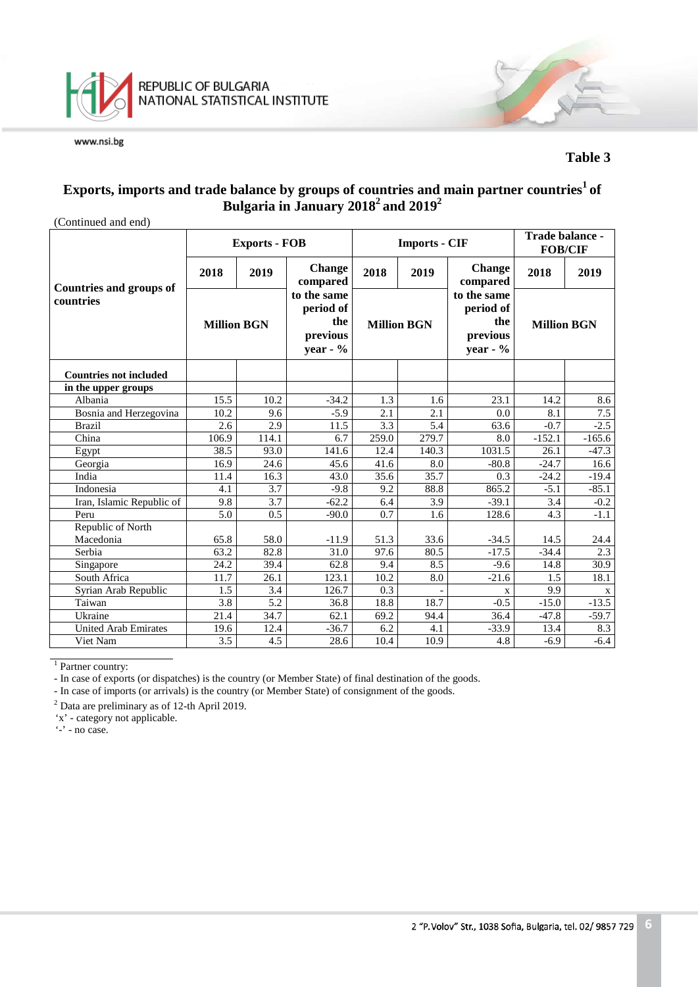

#### **Table 3**

## **Exports, imports and trade balance by groups of countries and main partner countries1 of Bulgaria in January 20182 and 20192**

| (Continued and end)            |                    |                      |                                                            |                    |                      |                                                            |                    |          |  |  |
|--------------------------------|--------------------|----------------------|------------------------------------------------------------|--------------------|----------------------|------------------------------------------------------------|--------------------|----------|--|--|
|                                |                    | <b>Exports - FOB</b> |                                                            |                    | <b>Imports - CIF</b> | Trade balance -<br><b>FOB/CIF</b>                          |                    |          |  |  |
| <b>Countries and groups of</b> | 2018               | 2019                 | <b>Change</b><br>compared                                  | 2018               | 2019                 | <b>Change</b><br>compared                                  | 2018               | 2019     |  |  |
| countries                      | <b>Million BGN</b> |                      | to the same<br>period of<br>the<br>previous<br>year - $\%$ | <b>Million BGN</b> |                      | to the same<br>period of<br>the<br>previous<br>year - $\%$ | <b>Million BGN</b> |          |  |  |
| <b>Countries not included</b>  |                    |                      |                                                            |                    |                      |                                                            |                    |          |  |  |
| in the upper groups            |                    |                      |                                                            |                    |                      |                                                            |                    |          |  |  |
| Albania                        | 15.5               | 10.2                 | $-34.2$                                                    | 1.3                | 1.6                  | 23.1                                                       | 14.2               | 8.6      |  |  |
| Bosnia and Herzegovina         | 10.2               | 9.6                  | $-5.9$                                                     | 2.1                | 2.1                  | 0.0                                                        | 8.1                | 7.5      |  |  |
| <b>Brazil</b>                  | 2.6                | 2.9                  | 11.5                                                       | 3.3                | $\overline{5.4}$     | 63.6                                                       | $-0.7$             | $-2.5$   |  |  |
| China                          | 106.9              | 114.1                | 6.7                                                        | 259.0              | 279.7                | 8.0                                                        | $-152.1$           | $-165.6$ |  |  |
| Egypt                          | 38.5               | 93.0                 | 141.6                                                      | 12.4               | 140.3                | 1031.5                                                     | 26.1               | $-47.3$  |  |  |
| Georgia                        | 16.9               | 24.6                 | 45.6                                                       | 41.6               | 8.0                  | $-80.8$                                                    | $-24.7$            | 16.6     |  |  |
| India                          | 11.4               | 16.3                 | 43.0                                                       | 35.6               | 35.7                 | 0.3                                                        | $-24.2$            | $-19.4$  |  |  |
| Indonesia                      | 4.1                | 3.7                  | $-9.8$                                                     | 9.2                | 88.8                 | 865.2                                                      | $-5.1$             | $-85.1$  |  |  |
| Iran, Islamic Republic of      | 9.8                | 3.7                  | $-62.2$                                                    | 6.4                | 3.9                  | $-39.1$                                                    | 3.4                | $-0.2$   |  |  |
| Peru                           | 5.0                | 0.5                  | $-90.0$                                                    | 0.7                | 1.6                  | 128.6                                                      | 4.3                | $-1.1$   |  |  |
| Republic of North              |                    |                      |                                                            |                    |                      |                                                            |                    |          |  |  |
| Macedonia                      | 65.8               | 58.0                 | $-11.9$                                                    | 51.3               | 33.6                 | $-34.5$                                                    | 14.5               | 24.4     |  |  |
| Serbia                         | 63.2               | 82.8                 | 31.0                                                       | 97.6               | 80.5                 | $-17.5$                                                    | $-34.4$            | 2.3      |  |  |
| Singapore                      | 24.2               | 39.4                 | 62.8                                                       | 9.4                | 8.5                  | $-9.6$                                                     | 14.8               | 30.9     |  |  |
| South Africa                   | $11.\overline{7}$  | 26.1                 | 123.1                                                      | 10.2               | 8.0                  | $-21.6$                                                    | 1.5                | 18.1     |  |  |
| Syrian Arab Republic           | 1.5                | 3.4                  | 126.7                                                      | 0.3                |                      | $\mathbf x$                                                | 9.9                | X        |  |  |
| Taiwan                         | $\overline{3.8}$   | 5.2                  | 36.8                                                       | 18.8               | 18.7                 | $-0.5$                                                     | $-15.0$            | $-13.5$  |  |  |
| Ukraine                        | 21.4               | 34.7                 | 62.1                                                       | 69.2               | 94.4                 | 36.4                                                       | $-47.8$            | $-59.7$  |  |  |
| <b>United Arab Emirates</b>    | 19.6               | 12.4                 | $-36.7$                                                    | 6.2                | 4.1                  | $-33.9$                                                    | 13.4               | 8.3      |  |  |
| Viet Nam                       | 3.5                | 4.5                  | 28.6                                                       | 10.4               | $10.\overline{9}$    | 4.8                                                        | $-6.9$             | $-6.4$   |  |  |

<sup>1</sup> Partner country:

- In case of exports (or dispatches) is the country (or Member State) of final destination of the goods.

- In case of imports (or arrivals) is the country (or Member State) of consignment of the goods.

<sup>2</sup> Data are preliminary as of 12-th April 2019.

'x' - category not applicable.

'-' - no case.